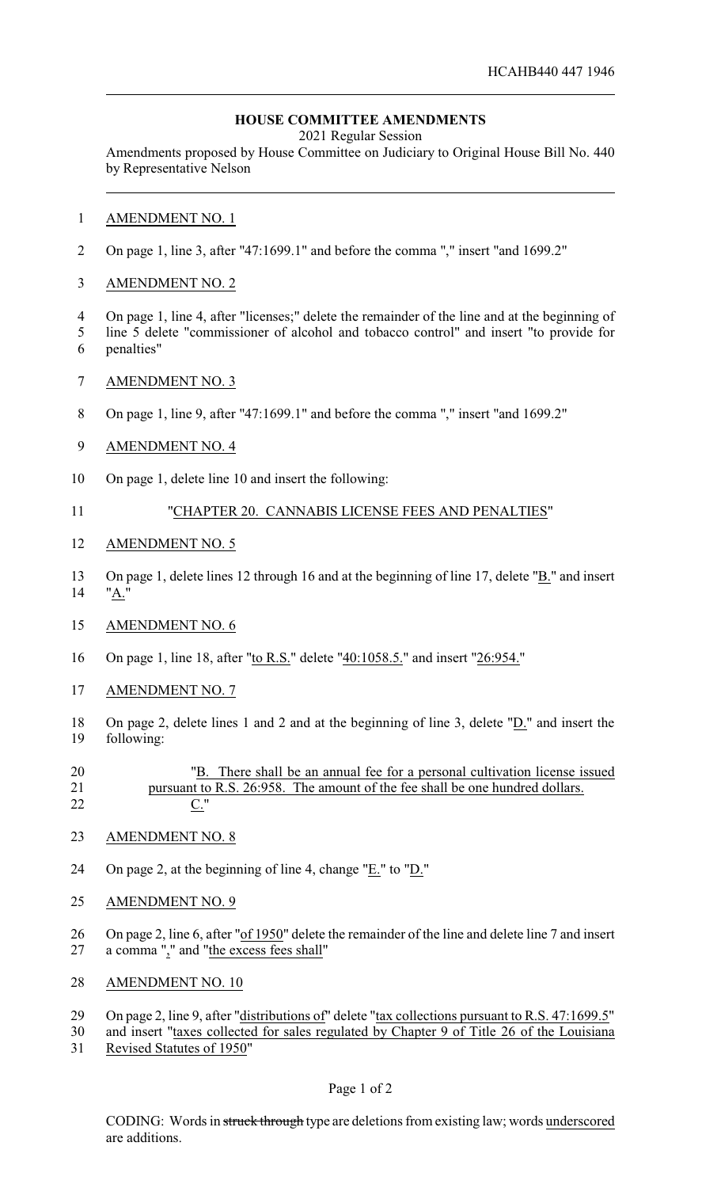## **HOUSE COMMITTEE AMENDMENTS**

2021 Regular Session

Amendments proposed by House Committee on Judiciary to Original House Bill No. 440 by Representative Nelson

- AMENDMENT NO. 1
- On page 1, line 3, after "47:1699.1" and before the comma "," insert "and 1699.2"
- AMENDMENT NO. 2
- On page 1, line 4, after "licenses;" delete the remainder of the line and at the beginning of
- line 5 delete "commissioner of alcohol and tobacco control" and insert "to provide for penalties"
- AMENDMENT NO. 3
- On page 1, line 9, after "47:1699.1" and before the comma "," insert "and 1699.2"
- AMENDMENT NO. 4
- On page 1, delete line 10 and insert the following:
- "CHAPTER 20. CANNABIS LICENSE FEES AND PENALTIES"
- AMENDMENT NO. 5
- On page 1, delete lines 12 through 16 and at the beginning of line 17, delete "B." and insert "A."
- AMENDMENT NO. 6
- On page 1, line 18, after "to R.S." delete "40:1058.5." and insert "26:954."
- AMENDMENT NO. 7
- On page 2, delete lines 1 and 2 and at the beginning of line 3, delete "D." and insert the following:
- "B. There shall be an annual fee for a personal cultivation license issued pursuant to R.S. 26:958. The amount of the fee shall be one hundred dollars. C."
- 

AMENDMENT NO. 8

- On page 2, at the beginning of line 4, change "E." to "D."
- AMENDMENT NO. 9
- On page 2, line 6, after "of 1950" delete the remainder of the line and delete line 7 and insert a comma "," and "the excess fees shall"
- AMENDMENT NO. 10
- On page 2, line 9, after "distributions of" delete "tax collections pursuant to R.S. 47:1699.5"
- and insert "taxes collected for sales regulated by Chapter 9 of Title 26 of the Louisiana Revised Statutes of 1950"
	- Page 1 of 2

CODING: Words in struck through type are deletions from existing law; words underscored are additions.